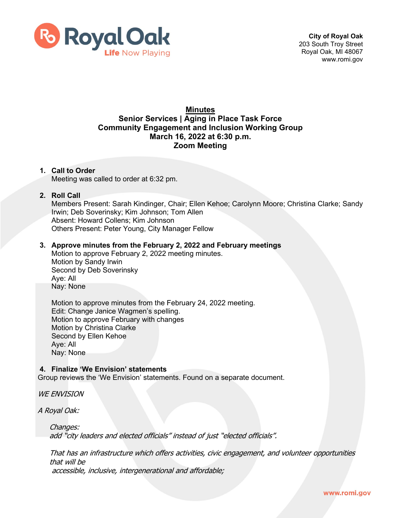

# **Minutes Senior Services | Aging in Place Task Force Community Engagement and Inclusion Working Group March 16, 2022 at 6:30 p.m. Zoom Meeting**

#### **1. Call to Order**

Meeting was called to order at 6:32 pm.

#### **2. Roll Call**

Members Present: Sarah Kindinger, Chair; Ellen Kehoe; Carolynn Moore; Christina Clarke; Sandy Irwin; Deb Soverinsky; Kim Johnson; Tom Allen Absent: Howard Collens; Kim Johnson Others Present: Peter Young, City Manager Fellow

# **3. Approve minutes from the February 2, 2022 and February meetings**

Motion to approve February 2, 2022 meeting minutes. Motion by Sandy Irwin Second by Deb Soverinsky Aye: All Nay: None

Motion to approve minutes from the February 24, 2022 meeting. Edit: Change Janice Wagmen's spelling. Motion to approve February with changes Motion by Christina Clarke Second by Ellen Kehoe Aye: All Nay: None

### **4. Finalize 'We Envision' statements**

Group reviews the 'We Envision' statements. Found on a separate document.

WE ENVISION

A Royal Oak:

Changes: add "city leaders and elected officials" instead of just "elected officials".

That has an infrastructure which offers activities, civic engagement, and volunteer opportunities that will be accessible, inclusive, intergenerational and affordable;

www.romi.gov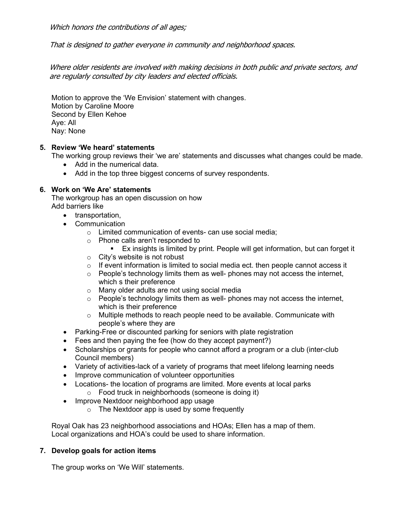Which honors the contributions of all ages;

That is designed to gather everyone in community and neighborhood spaces.

Where older residents are involved with making decisions in both public and private sectors, and are regularly consulted by city leaders and elected officials.

Motion to approve the 'We Envision' statement with changes. Motion by Caroline Moore Second by Ellen Kehoe Aye: All Nay: None

## **5. Review 'We heard' statements**

The working group reviews their 'we are' statements and discusses what changes could be made.

- Add in the numerical data.
- Add in the top three biggest concerns of survey respondents.

## **6. Work on 'We Are' statements**

The workgroup has an open discussion on how Add barriers like

- transportation,
- Communication
	- o Limited communication of events- can use social media;
	- o Phone calls aren't responded to
		- Ex insights is limited by print. People will get information, but can forget it
	- o City's website is not robust
	- $\circ$  If event information is limited to social media ect. then people cannot access it
	- $\circ$  People's technology limits them as well- phones may not access the internet, which s their preference
	- o Many older adults are not using social media
	- $\circ$  People's technology limits them as well- phones may not access the internet, which is their preference
	- o Multiple methods to reach people need to be available. Communicate with people's where they are
- Parking-Free or discounted parking for seniors with plate registration
- Fees and then paying the fee (how do they accept payment?)
- Scholarships or grants for people who cannot afford a program or a club (inter-club Council members)
- Variety of activities-lack of a variety of programs that meet lifelong learning needs
- Improve communication of volunteer opportunities
- Locations- the location of programs are limited. More events at local parks
	- o Food truck in neighborhoods (someone is doing it)
- Improve Nextdoor neighborhood app usage
	- o The Nextdoor app is used by some frequently

Royal Oak has 23 neighborhood associations and HOAs; Ellen has a map of them. Local organizations and HOA's could be used to share information.

# **7. Develop goals for action items**

The group works on 'We Will' statements.